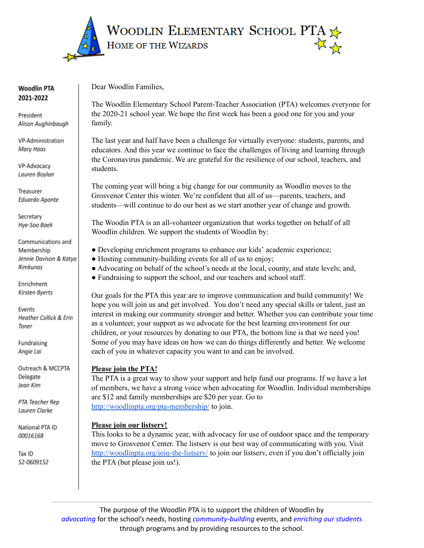

#### **Woodlin PTA** 2021-2022

President Alison Aughinbaugh

VP-Administration Mary Haas

VP-Advocacy Lauren Boylan

Treasurer Eduardo Aponte

Secretary Hye-Soo Baek

Communications and Membership Jennie Davison & Katya Rimkunas

Enrichment Kirsten Byerts

Events Heather Collick & Erin Toner

Fundraising Angie Lai

Outreach & MCCPTA Delegate Jean Kim

PTA Teacher Rep Lauren Clarke

National PTA ID 00016168

Tax ID 52-0609152 Dear Woodlin Families,

The Woodlin Elementary School Parent-Teacher Association (PTA) welcomes everyone for the 2020-21 school year. We hope the first week has been a good one for you and your family.

The last year and half have been a challenge for virtually everyone: students, parents, and educators. And this year we continue to face the challenges of living and learning through the Coronavirus pandemic. We are grateful for the resilience of our school, teachers, and students.

The coming year will bring a big change for our community as Woodlin moves to the Grosvenor Center this winter. We're confident that all of us—parents, teachers, and students—will continue to do our best as we start another year of change and growth.

The Woodin PTA is an all-volunteer organization that works together on behalf of all Woodlin children. We support the students of Woodlin by:

- Developing enrichment programs to enhance our kids' academic experience;
- Hosting community-building events for all of us to enjoy;
- Advocating on behalf of the school's needs at the local, county, and state levels; and,
- Fundraising to support the school, and our teachers and school staff.

Our goals for the PTA this year are to improve communication and build community! We hope you will join us and get involved. You don't need any special skills or talent, just an interest in making our community stronger and better. Whether you can contribute your time as a volunteer, your support as we advocate for the best learning environment for our children, or your resources by donating to our PTA, the bottom line is that we need you! Some of you may have ideas on how we can do things differently and better. We welcome each of you in whatever capacity you want to and can be involved.

# **Please join the PTA!**

The PTA is a great way to show your support and help fund our programs. If we have a lot of members, we have a strong voice when advocating for Woodlin. Individual memberships are \$12 and family memberships are \$20 per year. Go to <http://woodlinpta.org/pta-membership/> to join.

#### **Please join our listserv!**

This looks to be a dynamic year, with advocacy for use of outdoor space and the temporary move to Grosvenor Center. The listserv is our best way of communicating with you. Visit <http://woodlinpta.org/join-the-listserv/> to join our listserv, even if you don't officially join the PTA (but please join us!).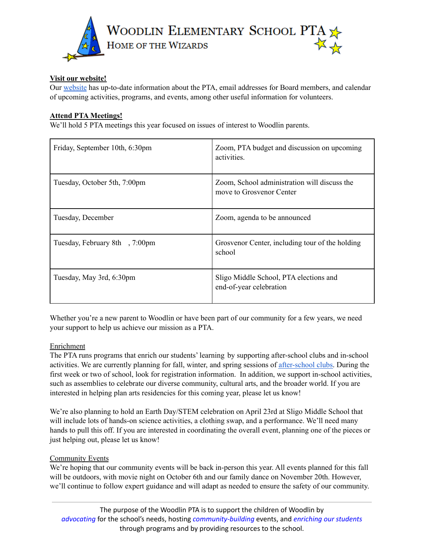

## **Visit our website!**

Our [website](http://woodlinpta.org/) has up-to-date information about the PTA, email addresses for Board members, and calendar of upcoming activities, programs, and events, among other useful information for volunteers.

### **Attend PTA Meetings!**

We'll hold 5 PTA meetings this year focused on issues of interest to Woodlin parents.

| Friday, September 10th, 6:30pm | Zoom, PTA budget and discussion on upcoming<br>activities.               |
|--------------------------------|--------------------------------------------------------------------------|
| Tuesday, October 5th, 7:00pm   | Zoom, School administration will discuss the<br>move to Grosvenor Center |
| Tuesday, December              | Zoom, agenda to be announced                                             |
| Tuesday, February 8th, 7:00pm  | Grosvenor Center, including tour of the holding<br>school                |
| Tuesday, May 3rd, 6:30pm       | Sligo Middle School, PTA elections and<br>end-of-year celebration        |

Whether you're a new parent to Woodlin or have been part of our community for a few years, we need your support to help us achieve our mission as a PTA.

#### Enrichment

The PTA runs programs that enrich our students' learning by supporting after-school clubs and in-school activities. We are currently planning for fall, winter, and spring sessions of [after-school](http://woodlinpta.org/after-school-clubs/) clubs. During the first week or two of school, look for registration information. In addition, we support in-school activities, such as assemblies to celebrate our diverse community, cultural arts, and the broader world. If you are interested in helping plan arts residencies for this coming year, please let us know!

We're also planning to hold an Earth Day/STEM celebration on April 23rd at Sligo Middle School that will include lots of hands-on science activities, a clothing swap, and a performance. We'll need many hands to pull this off. If you are interested in coordinating the overall event, planning one of the pieces or just helping out, please let us know!

#### Community Events

We're hoping that our community events will be back in-person this year. All events planned for this fall will be outdoors, with movie night on October 6th and our family dance on November 20th. However, we'll continue to follow expert guidance and will adapt as needed to ensure the safety of our community.